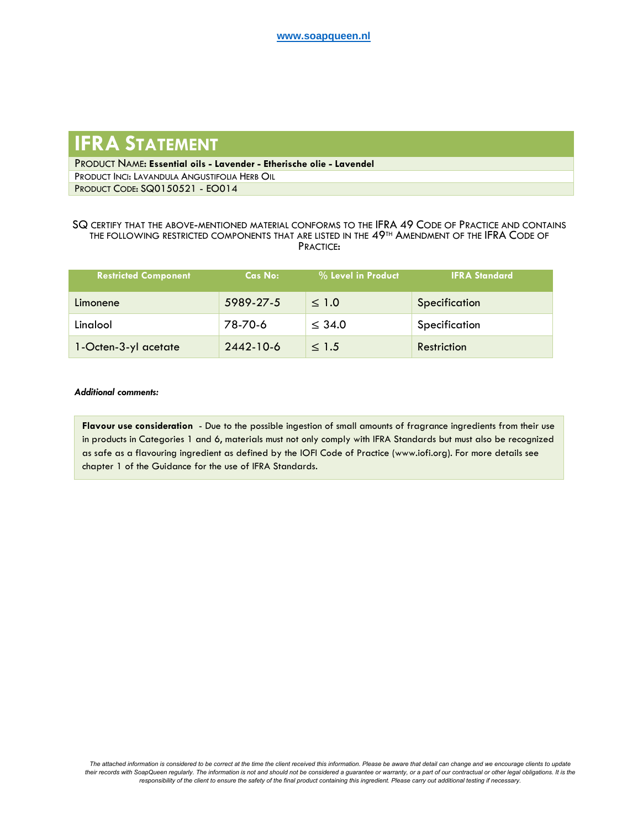## **IFRA STATEMENT**

PRODUCT NAME: **Essential oils - Lavender - Etherische olie - Lavendel** PRODUCT INCI: LAVANDULA ANGUSTIFOLIA HERB OIL PRODUCT CODE: SQ0150521 - EO014

## SQ CERTIFY THAT THE ABOVE-MENTIONED MATERIAL CONFORMS TO THE IFRA 49 CODE OF PRACTICE AND CONTAINS THE FOLLOWING RESTRICTED COMPONENTS THAT ARE LISTED IN THE 49TH AMENDMENT OF THE IFRA CODE OF PRACTICE:

| <b>Restricted Component</b> | Cas No:   | % Level in Product | <b>IFRA Standard</b> |
|-----------------------------|-----------|--------------------|----------------------|
| Limonene                    | 5989-27-5 | $\leq 1.0$         | Specification        |
| Linalool                    | 78-70-6   | $\leq$ 34.0        | Specification        |
| 1-Octen-3-yl acetate        | 2442-10-6 | $\leq 1.5$         | Restriction          |

## *Additional comments:*

**Flavour use consideration** - Due to the possible ingestion of small amounts of fragrance ingredients from their use in products in Categories 1 and 6, materials must not only comply with IFRA Standards but must also be recognized as safe as a flavouring ingredient as defined by the IOFI Code of Practice (www.iofi.org). For more details see chapter 1 of the Guidance for the use of IFRA Standards.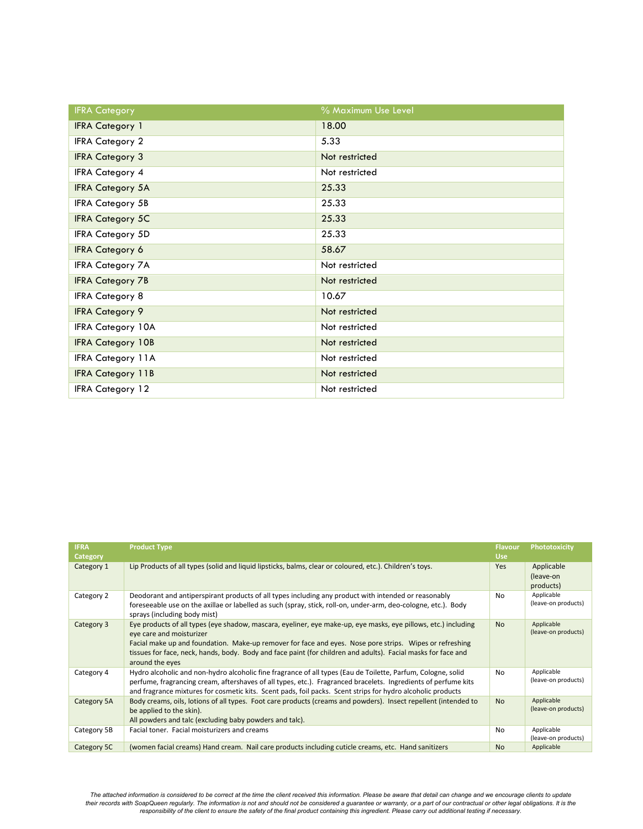| <b>IFRA Category</b>     | % Maximum Use Level |
|--------------------------|---------------------|
| <b>IFRA Category 1</b>   | 18.00               |
| <b>IFRA Category 2</b>   | 5.33                |
| <b>IFRA Category 3</b>   | Not restricted      |
| <b>IFRA Category 4</b>   | Not restricted      |
| <b>IFRA Category 5A</b>  | 25.33               |
| <b>IFRA Category 5B</b>  | 25.33               |
| <b>IFRA Category 5C</b>  | 25.33               |
| <b>IFRA Category 5D</b>  | 25.33               |
| <b>IFRA Category 6</b>   | 58.67               |
| <b>IFRA Category 7A</b>  | Not restricted      |
| <b>IFRA Category 7B</b>  | Not restricted      |
| <b>IFRA Category 8</b>   | 10.67               |
| <b>IFRA Category 9</b>   | Not restricted      |
| <b>IFRA Category 10A</b> | Not restricted      |
| <b>IFRA Category 10B</b> | Not restricted      |
| <b>IFRA Category 11A</b> | Not restricted      |
| <b>IFRA Category 11B</b> | Not restricted      |
| <b>IFRA Category 12</b>  | Not restricted      |

| <b>IFRA</b><br><b>Category</b> | <b>Product Type</b>                                                                                                                                                                                                                                                                                                                                                                       | <b>Flavour</b><br><b>Use</b> | Phototoxicity                        |
|--------------------------------|-------------------------------------------------------------------------------------------------------------------------------------------------------------------------------------------------------------------------------------------------------------------------------------------------------------------------------------------------------------------------------------------|------------------------------|--------------------------------------|
| Category 1                     | Lip Products of all types (solid and liquid lipsticks, balms, clear or coloured, etc.). Children's toys.                                                                                                                                                                                                                                                                                  | <b>Yes</b>                   | Applicable<br>(leave-on<br>products) |
| Category 2                     | Deodorant and antiperspirant products of all types including any product with intended or reasonably<br>foreseeable use on the axillae or labelled as such (spray, stick, roll-on, under-arm, deo-cologne, etc.). Body<br>sprays (including body mist)                                                                                                                                    | No                           | Applicable<br>(leave-on products)    |
| Category 3                     | Eye products of all types (eye shadow, mascara, eyeliner, eye make-up, eye masks, eye pillows, etc.) including<br>eye care and moisturizer<br>Facial make up and foundation. Make-up remover for face and eyes. Nose pore strips. Wipes or refreshing<br>tissues for face, neck, hands, body. Body and face paint (for children and adults). Facial masks for face and<br>around the eyes | <b>No</b>                    | Applicable<br>(leave-on products)    |
| Category 4                     | Hydro alcoholic and non-hydro alcoholic fine fragrance of all types (Eau de Toilette, Parfum, Cologne, solid<br>perfume, fragrancing cream, aftershaves of all types, etc.). Fragranced bracelets. Ingredients of perfume kits<br>and fragrance mixtures for cosmetic kits. Scent pads, foil packs. Scent strips for hydro alcoholic products                                             | No                           | Applicable<br>(leave-on products)    |
| Category 5A                    | Body creams, oils, lotions of all types. Foot care products (creams and powders). Insect repellent (intended to<br>be applied to the skin).<br>All powders and talc (excluding baby powders and talc).                                                                                                                                                                                    | <b>No</b>                    | Applicable<br>(leave-on products)    |
| Category 5B                    | Facial toner. Facial moisturizers and creams                                                                                                                                                                                                                                                                                                                                              | No                           | Applicable<br>(leave-on products)    |
| Category 5C                    | (women facial creams) Hand cream. Nail care products including cuticle creams, etc. Hand sanitizers                                                                                                                                                                                                                                                                                       | <b>No</b>                    | Applicable                           |